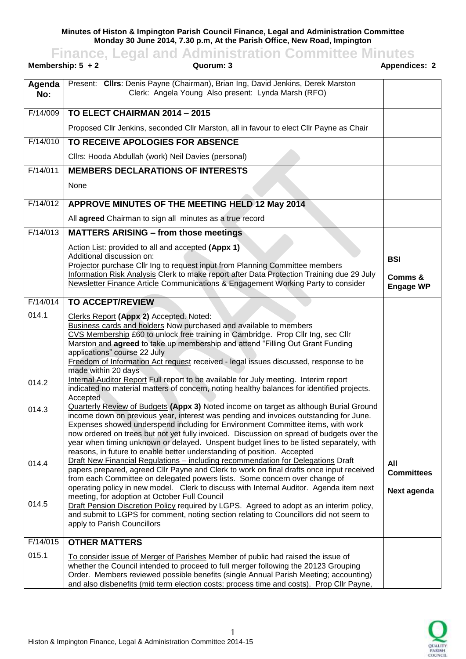**Minutes of Histon & Impington Parish Council Finance, Legal and Administration Committee Monday 30 June 2014, 7.30 p.m, At the Parish Office, New Road, Impington**

**Finance, Legal and Administration Committee Minutes Membership: 5 + 2 Cuorum: 3 Appendices: 2** Appendices: 2 **Agenda No:** Present: **Cllrs**: Denis Payne (Chairman), Brian Ing, David Jenkins, Derek Marston Clerk: Angela Young Also present: Lynda Marsh (RFO) F/14/009 **TO ELECT CHAIRMAN 2014 – 2015** Proposed Cllr Jenkins, seconded Cllr Marston, all in favour to elect Cllr Payne as Chair F/14/010 **TO RECEIVE APOLOGIES FOR ABSENCE** Cllrs: Hooda Abdullah (work) Neil Davies (personal) F/14/011 **MEMBERS DECLARATIONS OF INTERESTS** None F/14/012 **APPROVE MINUTES OF THE MEETING HELD 12 May 2014** All **agreed** Chairman to sign all minutes as a true record F/14/013 **MATTERS ARISING – from those meetings** Action List: provided to all and accepted **(Appx 1)** Additional discussion on: Projector purchase Cllr Ing to request input from Planning Committee members Information Risk Analysis Clerk to make report after Data Protection Training due 29 July Newsletter Finance Article Communications & Engagement Working Party to consider **BSI Comms & Engage WP** F/14/014 014.1 014.2 014.3 014.4 014.5 **TO ACCEPT/REVIEW**  Clerks Report **(Appx 2)** Accepted. Noted: Business cards and holders Now purchased and available to members CVS Membership £60 to unlock free training in Cambridge. Prop Cllr Ing, sec Cllr Marston and **agreed** to take up membership and attend "Filling Out Grant Funding applications" course 22 July Freedom of Information Act request received - legal issues discussed, response to be made within 20 days Internal Auditor Report Full report to be available for July meeting. Interim report indicated no material matters of concern, noting healthy balances for identified projects. Accepted Quarterly Review of Budgets **(Appx 3)** Noted income on target as although Burial Ground income down on previous year, interest was pending and invoices outstanding for June. Expenses showed underspend including for Environment Committee items, with work now ordered on trees but not yet fully invoiced. Discussion on spread of budgets over the year when timing unknown or delayed. Unspent budget lines to be listed separately, with reasons, in future to enable better understanding of position. Accepted Draft New Financial Regulations – including recommendation for Delegations Draft papers prepared, agreed Cllr Payne and Clerk to work on final drafts once input received from each Committee on delegated powers lists. Some concern over change of operating policy in new model. Clerk to discuss with Internal Auditor. Agenda item next meeting, for adoption at October Full Council Draft Pension Discretion Policy required by LGPS. Agreed to adopt as an interim policy, and submit to LGPS for comment, noting section relating to Councillors did not seem to apply to Parish Councillors **All Committees Next agenda** F/14/015 015.1 **OTHER MATTERS** To consider issue of Merger of Parishes Member of public had raised the issue of

whether the Council intended to proceed to full merger following the 20123 Grouping Order. Members reviewed possible benefits (single Annual Parish Meeting; accounting) and also disbenefits (mid term election costs; process time and costs). Prop Cllr Payne,